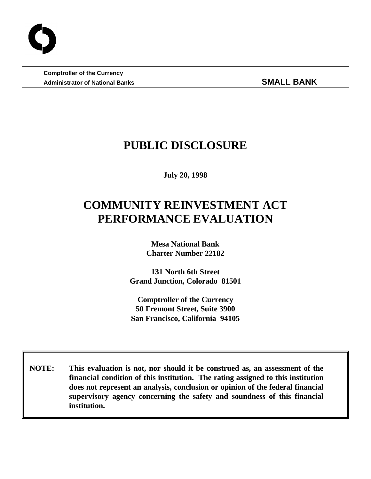**Comptroller of the Currency** Administrator of National Banks **SMALL BANK** 

## **PUBLIC DISCLOSURE**

**July 20, 1998**

# **COMMUNITY REINVESTMENT ACT PERFORMANCE EVALUATION**

**Mesa National Bank Charter Number 22182**

**131 North 6th Street Grand Junction, Colorado 81501**

**Comptroller of the Currency 50 Fremont Street, Suite 3900 San Francisco, California 94105**

 **NOTE: This evaluation is not, nor should it be construed as, an assessment of the financial condition of this institution. The rating assigned to this institution does not represent an analysis, conclusion or opinion of the federal financial supervisory agency concerning the safety and soundness of this financial institution.**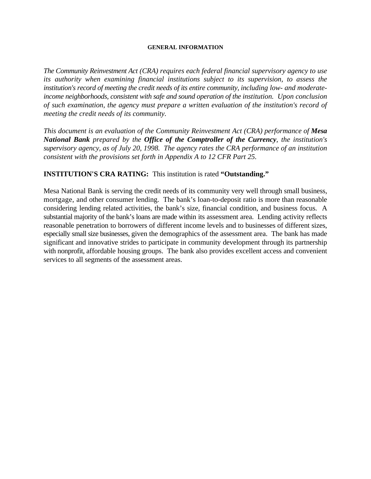#### **GENERAL INFORMATION**

*The Community Reinvestment Act (CRA) requires each federal financial supervisory agency to use its authority when examining financial institutions subject to its supervision, to assess the institution's record of meeting the credit needs of its entire community, including low- and moderateincome neighborhoods, consistent with safe and sound operation of the institution. Upon conclusion of such examination, the agency must prepare a written evaluation of the institution's record of meeting the credit needs of its community.* 

*This document is an evaluation of the Community Reinvestment Act (CRA) performance of Mesa National Bank prepared by the Office of the Comptroller of the Currency, the institution's supervisory agency, as of July 20, 1998. The agency rates the CRA performance of an institution consistent with the provisions set forth in Appendix A to 12 CFR Part 25.*

## **INSTITUTION'S CRA RATING:** This institution is rated **"Outstanding."**

Mesa National Bank is serving the credit needs of its community very well through small business, mortgage, and other consumer lending. The bank's loan-to-deposit ratio is more than reasonable considering lending related activities, the bank's size, financial condition, and business focus. A substantial majority of the bank's loans are made within its assessment area. Lending activity reflects reasonable penetration to borrowers of different income levels and to businesses of different sizes, especially small size businesses, given the demographics of the assessment area. The bank has made significant and innovative strides to participate in community development through its partnership with nonprofit, affordable housing groups. The bank also provides excellent access and convenient services to all segments of the assessment areas.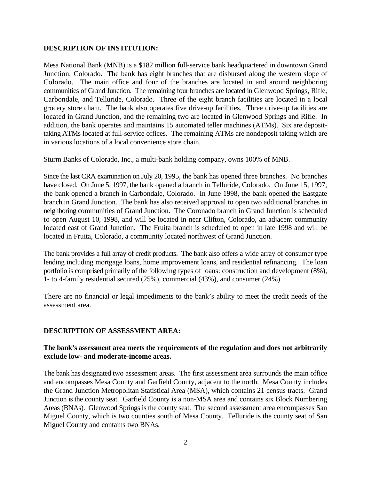## **DESCRIPTION OF INSTITUTION:**

Mesa National Bank (MNB) is a \$182 million full-service bank headquartered in downtown Grand Junction, Colorado. The bank has eight branches that are disbursed along the western slope of Colorado. The main office and four of the branches are located in and around neighboring communities of Grand Junction. The remaining four branches are located in Glenwood Springs, Rifle, Carbondale, and Telluride, Colorado. Three of the eight branch facilities are located in a local grocery store chain. The bank also operates five drive-up facilities. Three drive-up facilities are located in Grand Junction, and the remaining two are located in Glenwood Springs and Rifle. In addition, the bank operates and maintains 15 automated teller machines (ATMs). Six are deposittaking ATMs located at full-service offices. The remaining ATMs are nondeposit taking which are in various locations of a local convenience store chain.

Sturm Banks of Colorado, Inc., a multi-bank holding company, owns 100% of MNB.

Since the last CRA examination on July 20, 1995, the bank has opened three branches. No branches have closed. On June 5, 1997, the bank opened a branch in Telluride, Colorado. On June 15, 1997, the bank opened a branch in Carbondale, Colorado. In June 1998, the bank opened the Eastgate branch in Grand Junction. The bank has also received approval to open two additional branches in neighboring communities of Grand Junction. The Coronado branch in Grand Junction is scheduled to open August 10, 1998, and will be located in near Clifton, Colorado, an adjacent community located east of Grand Junction. The Fruita branch is scheduled to open in late 1998 and will be located in Fruita, Colorado, a community located northwest of Grand Junction.

The bank provides a full array of credit products. The bank also offers a wide array of consumer type lending including mortgage loans, home improvement loans, and residential refinancing. The loan portfolio is comprised primarily of the following types of loans: construction and development (8%), 1- to 4-family residential secured (25%), commercial (43%), and consumer (24%).

There are no financial or legal impediments to the bank's ability to meet the credit needs of the assessment area.

## **DESCRIPTION OF ASSESSMENT AREA:**

## **The bank's assessment area meets the requirements of the regulation and does not arbitrarily exclude low- and moderate-income areas.**

The bank has designated two assessment areas. The first assessment area surrounds the main office and encompasses Mesa County and Garfield County, adjacent to the north. Mesa County includes the Grand Junction Metropolitan Statistical Area (MSA), which contains 21 census tracts. Grand Junction is the county seat. Garfield County is a non-MSA area and contains six Block Numbering Areas (BNAs). Glenwood Springs is the county seat. The second assessment area encompasses San Miguel County, which is two counties south of Mesa County. Telluride is the county seat of San Miguel County and contains two BNAs.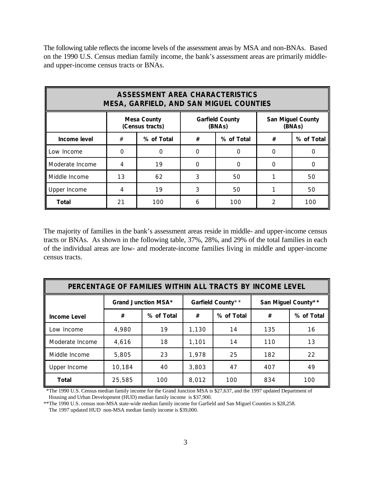The following table reflects the income levels of the assessment areas by MSA and non-BNAs. Based on the 1990 U.S. Census median family income, the bank's assessment areas are primarily middleand upper-income census tracts or BNAs.

| <b>ASSESSMENT AREA CHARACTERISTICS</b><br><b>MESA, GARFIELD, AND SAN MIGUEL COUNTIES</b> |          |                                       |                                  |     |               |                                    |  |
|------------------------------------------------------------------------------------------|----------|---------------------------------------|----------------------------------|-----|---------------|------------------------------------|--|
|                                                                                          |          | <b>Mesa County</b><br>(Census tracts) | <b>Garfield County</b><br>(BNAs) |     |               | <b>San Miguel County</b><br>(BNAs) |  |
| Income level                                                                             | #        | % of Total                            | % of Total<br>#                  |     | #             | % of Total                         |  |
| Low Income                                                                               | $\Omega$ | $\Omega$                              | 0                                |     | O             | Ω                                  |  |
| Moderate Income                                                                          | 4        | 19                                    | $\Omega$                         | O   | $\Omega$      |                                    |  |
| Middle Income                                                                            | 13       | 62                                    | 3                                | 50  |               | 50                                 |  |
| Upper Income                                                                             | 4        | 19                                    | 3                                | 50  |               | 50                                 |  |
| <b>Total</b>                                                                             | 21       | 100                                   | 6                                | 100 | $\mathcal{P}$ | 100                                |  |

The majority of families in the bank's assessment areas reside in middle- and upper-income census tracts or BNAs. As shown in the following table, 37%, 28%, and 29% of the total families in each of the individual areas are low- and moderate-income families living in middle and upper-income census tracts.

| PERCENTAGE OF FAMILIES WITHIN ALL TRACTS BY INCOME LEVEL |                     |            |                   |                 |                     |            |
|----------------------------------------------------------|---------------------|------------|-------------------|-----------------|---------------------|------------|
|                                                          | Grand Junction MSA* |            | Garfield County** |                 | San Miguel County** |            |
| <b>Income Level</b>                                      | #                   | % of Total | #                 | % of Total<br># |                     | % of Total |
| Low Income                                               | 4,980               | 19         | 1,130             | 14              | 135                 | 16         |
| Moderate Income                                          | 4,616               | 18         | 1,101             | 14              | 110                 | 13         |
| Middle Income                                            | 5,805               | 23         | 1,978             | 25              | 182                 | 22         |
| Upper Income                                             | 10,184              | 40         | 3,803             | 47              | 407                 | 49         |
| <b>Total</b>                                             | 25,585              | 100        | 8,012             | 100             | 834                 | 100        |

 \*The 1990 U.S. Census median family income for the Grand Junction MSA is \$27,637, and the 1997 updated Department of Housing and Urban Development (HUD) median family income is \$37,900.

\*\*The 1990 U.S. census non-MSA state-wide median family income for Garfield and San Miguel Counties is \$28,258. The 1997 updated HUD non-MSA median family income is \$39,000.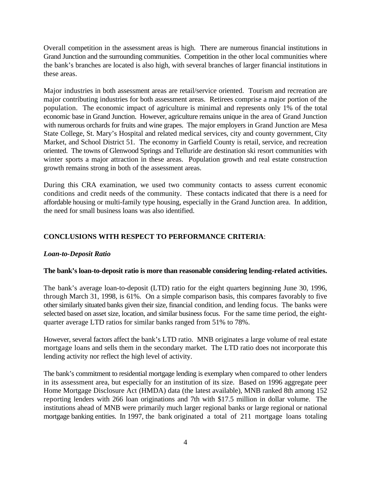Overall competition in the assessment areas is high. There are numerous financial institutions in Grand Junction and the surrounding communities. Competition in the other local communities where the bank's branches are located is also high, with several branches of larger financial institutions in these areas.

Major industries in both assessment areas are retail/service oriented. Tourism and recreation are major contributing industries for both assessment areas. Retirees comprise a major portion of the population. The economic impact of agriculture is minimal and represents only 1% of the total economic base in Grand Junction. However, agriculture remains unique in the area of Grand Junction with numerous orchards for fruits and wine grapes. The major employers in Grand Junction are Mesa State College, St. Mary's Hospital and related medical services, city and county government, City Market, and School District 51. The economy in Garfield County is retail, service, and recreation oriented. The towns of Glenwood Springs and Telluride are destination ski resort communities with winter sports a major attraction in these areas. Population growth and real estate construction growth remains strong in both of the assessment areas.

During this CRA examination, we used two community contacts to assess current economic conditions and credit needs of the community. These contacts indicated that there is a need for affordable housing or multi-family type housing, especially in the Grand Junction area. In addition, the need for small business loans was also identified.

## **CONCLUSIONS WITH RESPECT TO PERFORMANCE CRITERIA**:

## *Loan-to-Deposit Ratio*

## **The bank's loan-to-deposit ratio is more than reasonable considering lending-related activities.**

The bank's average loan-to-deposit (LTD) ratio for the eight quarters beginning June 30, 1996, through March 31, 1998, is 61%. On a simple comparison basis, this compares favorably to five other similarly situated banks given their size, financial condition, and lending focus. The banks were selected based on asset size, location, and similar business focus. For the same time period, the eightquarter average LTD ratios for similar banks ranged from 51% to 78%.

However, several factors affect the bank's LTD ratio. MNB originates a large volume of real estate mortgage loans and sells them in the secondary market. The LTD ratio does not incorporate this lending activity nor reflect the high level of activity.

The bank's commitment to residential mortgage lending is exemplary when compared to other lenders in its assessment area, but especially for an institution of its size. Based on 1996 aggregate peer Home Mortgage Disclosure Act (HMDA) data (the latest available), MNB ranked 8th among 152 reporting lenders with 266 loan originations and 7th with \$17.5 million in dollar volume. The institutions ahead of MNB were primarily much larger regional banks or large regional or national mortgage banking entities. In 1997, the bank originated a total of 211 mortgage loans totaling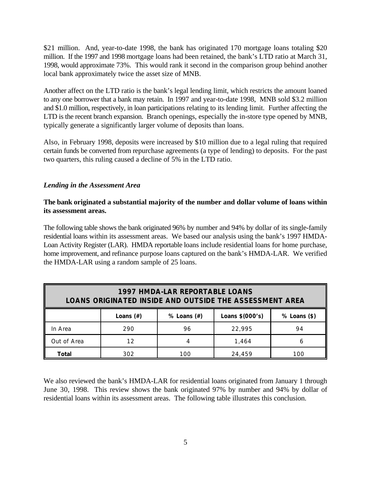\$21 million. And, year-to-date 1998, the bank has originated 170 mortgage loans totaling \$20 million. If the 1997 and 1998 mortgage loans had been retained, the bank's LTD ratio at March 31, 1998, would approximate 73%. This would rank it second in the comparison group behind another local bank approximately twice the asset size of MNB.

Another affect on the LTD ratio is the bank's legal lending limit, which restricts the amount loaned to any one borrower that a bank may retain. In 1997 and year-to-date 1998, MNB sold \$3.2 million and \$1.0 million, respectively, in loan participations relating to its lending limit. Further affecting the LTD is the recent branch expansion. Branch openings, especially the in-store type opened by MNB, typically generate a significantly larger volume of deposits than loans.

Also, in February 1998, deposits were increased by \$10 million due to a legal ruling that required certain funds be converted from repurchase agreements (a type of lending) to deposits. For the past two quarters, this ruling caused a decline of 5% in the LTD ratio.

## *Lending in the Assessment Area*

## **The bank originated a substantial majority of the number and dollar volume of loans within its assessment areas.**

The following table shows the bank originated 96% by number and 94% by dollar of its single-family residential loans within its assessment areas. We based our analysis using the bank's 1997 HMDA-Loan Activity Register (LAR). HMDA reportable loans include residential loans for home purchase, home improvement, and refinance purpose loans captured on the bank's HMDA-LAR. We verified the HMDA-LAR using a random sample of 25 loans.

| <b>1997 HMDA-LAR REPORTABLE LOANS</b><br><b>LOANS ORIGINATED INSIDE AND OUTSIDE THE ASSESSMENT AREA</b> |                                                                        |     |        |     |  |  |  |
|---------------------------------------------------------------------------------------------------------|------------------------------------------------------------------------|-----|--------|-----|--|--|--|
|                                                                                                         | $%$ Loans $(\#)$<br>Loans \$(000's)<br>$%$ Loans $(*)$<br>Loans $(\#)$ |     |        |     |  |  |  |
| In Area                                                                                                 | 290                                                                    | 96  | 22.995 | 94  |  |  |  |
| Out of Area                                                                                             | 12                                                                     |     | 1.464  | h   |  |  |  |
| Total                                                                                                   | 302                                                                    | 1ററ | 24,459 | 100 |  |  |  |

We also reviewed the bank's HMDA-LAR for residential loans originated from January 1 through June 30, 1998. This review shows the bank originated 97% by number and 94% by dollar of residential loans within its assessment areas. The following table illustrates this conclusion.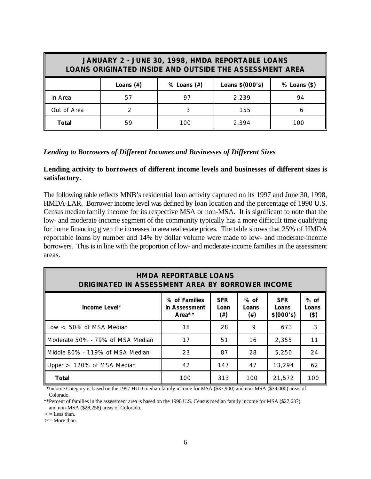| JANUARY 2 - JUNE 30, 1998, HMDA REPORTABLE LOANS<br>LOANS ORIGINATED INSIDE AND OUTSIDE THE ASSESSMENT AREA |                                                                     |     |       |     |  |  |  |
|-------------------------------------------------------------------------------------------------------------|---------------------------------------------------------------------|-----|-------|-----|--|--|--|
|                                                                                                             | Loans \$(000's)<br>Loans $(\#)$<br>$%$ Loans $(\#)$<br>% Loans (\$) |     |       |     |  |  |  |
| In Area                                                                                                     | 57                                                                  | 97  | 2,239 | 94  |  |  |  |
| Out of Area                                                                                                 |                                                                     |     | 155   | ь   |  |  |  |
| Total                                                                                                       | 59                                                                  | 100 | 2.394 | 100 |  |  |  |

#### *Lending to Borrowers of Different Incomes and Businesses of Different Sizes*

#### **Lending activity to borrowers of different income levels and businesses of different sizes is satisfactory.**

The following table reflects MNB's residential loan activity captured on its 1997 and June 30, 1998, HMDA-LAR. Borrower income level was defined by loan location and the percentage of 1990 U.S. Census median family income for its respective MSA or non-MSA. It is significant to note that the low- and moderate-income segment of the community typically has a more difficult time qualifying for home financing given the increases in area real estate prices. The table shows that 25% of HMDA reportable loans by number and 14% by dollar volume were made to low- and moderate-income borrowers. This is in line with the proportion of low- and moderate-income families in the assessment areas.

| <b>HMDA REPORTABLE LOANS</b><br>ORIGINATED IN ASSESSMENT AREA BY BORROWER INCOME |                                             |                                |                             |                                   |                         |  |  |
|----------------------------------------------------------------------------------|---------------------------------------------|--------------------------------|-----------------------------|-----------------------------------|-------------------------|--|--|
| Income Level*                                                                    | % of Families<br>in Assessment<br>Area $**$ | <b>SFR</b><br>Loan<br>$^{(+)}$ | $%$ of<br>Loans<br>$^{(+)}$ | <b>SFR</b><br>Loans<br>\$ (000's) | $%$ of<br>Loans<br>(\$) |  |  |
| Low $<$ 50% of MSA Median                                                        | 18                                          | 28                             | 9                           | 673                               | 3                       |  |  |
| Moderate 50% - 79% of MSA Median                                                 | 17                                          | 51                             | 16                          | 2,355                             | 11                      |  |  |
| Middle 80% - 119% of MSA Median                                                  | 23                                          | 87                             | 28                          | 5,250                             | 24                      |  |  |
| Upper $> 120\%$ of MSA Median                                                    | 42                                          | 147                            | 47                          | 13,294                            | 62                      |  |  |
| <b>Total</b>                                                                     | 100                                         | 313                            | 100                         | 21,572                            | 100                     |  |  |

 \*Income Category is based on the 1997 HUD median family income for MSA (\$37,900) and non-MSA (\$39,000) areas of Colorado.

\*\*Percent of families in the assessment area is based on the 1990 U.S. Census median family income for MSA (\$27,637) and non-MSA (\$28,258) areas of Colorado.

 $\epsilon$  = Less than.

 $>$  = More than.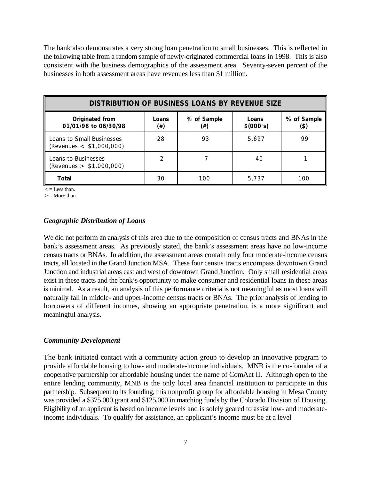The bank also demonstrates a very strong loan penetration to small businesses. This is reflected in the following table from a random sample of newly-originated commercial loans in 1998. This is also consistent with the business demographics of the assessment area. Seventy-seven percent of the businesses in both assessment areas have revenues less than \$1 million.

| <b>DISTRIBUTION OF BUSINESS LOANS BY REVENUE SIZE</b>   |              |                    |                    |                     |  |  |
|---------------------------------------------------------|--------------|--------------------|--------------------|---------------------|--|--|
| Originated from<br>01/01/98 to 06/30/98                 | Loans<br>(#) | % of Sample<br>(#) | Loans<br>\$(000's) | % of Sample<br>(\$) |  |  |
| Loans to Small Businesses<br>(Revenues $< $1,000,000$ ) | 28           | 93                 | 5,697              | 99                  |  |  |
| Loans to Businesses<br>(Revenues $> $1,000,000$ )       |              |                    | 40                 |                     |  |  |
| Total                                                   | 30           | 100                | 5,737              | 100                 |  |  |

 $\leq$  = Less than.

 $>$  = More than.

#### *Geographic Distribution of Loans*

We did not perform an analysis of this area due to the composition of census tracts and BNAs in the bank's assessment areas. As previously stated, the bank's assessment areas have no low-income census tracts or BNAs. In addition, the assessment areas contain only four moderate-income census tracts, all located in the Grand Junction MSA. These four census tracts encompass downtown Grand Junction and industrial areas east and west of downtown Grand Junction. Only small residential areas exist in these tracts and the bank's opportunity to make consumer and residential loans in these areas is minimal. As a result, an analysis of this performance criteria is not meaningful as most loans will naturally fall in middle- and upper-income census tracts or BNAs. The prior analysis of lending to borrowers of different incomes, showing an appropriate penetration, is a more significant and meaningful analysis.

#### *Community Development*

The bank initiated contact with a community action group to develop an innovative program to provide affordable housing to low- and moderate-income individuals. MNB is the co-founder of a cooperative partnership for affordable housing under the name of ComAct II. Although open to the entire lending community, MNB is the only local area financial institution to participate in this partnership. Subsequent to its founding, this nonprofit group for affordable housing in Mesa County was provided a \$375,000 grant and \$125,000 in matching funds by the Colorado Division of Housing. Eligibility of an applicant is based on income levels and is solely geared to assist low- and moderateincome individuals. To qualify for assistance, an applicant's income must be at a level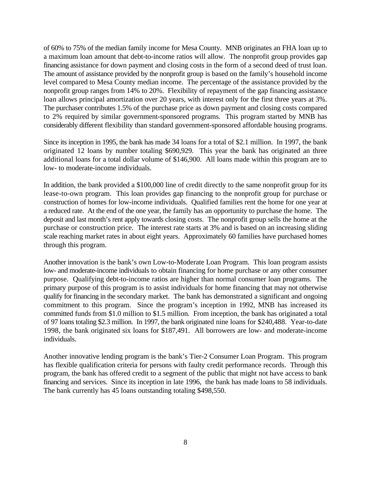of 60% to 75% of the median family income for Mesa County. MNB originates an FHA loan up to a maximum loan amount that debt-to-income ratios will allow. The nonprofit group provides gap financing assistance for down payment and closing costs in the form of a second deed of trust loan. The amount of assistance provided by the nonprofit group is based on the family's household income level compared to Mesa County median income. The percentage of the assistance provided by the nonprofit group ranges from 14% to 20%. Flexibility of repayment of the gap financing assistance loan allows principal amortization over 20 years, with interest only for the first three years at 3%. The purchaser contributes 1.5% of the purchase price as down payment and closing costs compared to 2% required by similar government-sponsored programs. This program started by MNB has considerably different flexibility than standard government-sponsored affordable housing programs.

Since its inception in 1995, the bank has made 34 loans for a total of \$2.1 million. In 1997, the bank originated 12 loans by number totaling \$690,929. This year the bank has originated an three additional loans for a total dollar volume of \$146,900. All loans made within this program are to low- to moderate-income individuals.

In addition, the bank provided a \$100,000 line of credit directly to the same nonprofit group for its lease-to-own program. This loan provides gap financing to the nonprofit group for purchase or construction of homes for low-income individuals. Qualified families rent the home for one year at a reduced rate. At the end of the one year, the family has an opportunity to purchase the home. The deposit and last month's rent apply towards closing costs. The nonprofit group sells the home at the purchase or construction price. The interest rate starts at 3% and is based on an increasing sliding scale reaching market rates in about eight years. Approximately 60 families have purchased homes through this program.

Another innovation is the bank's own Low-to-Moderate Loan Program. This loan program assists low- and moderate-income individuals to obtain financing for home purchase or any other consumer purpose. Qualifying debt-to-income ratios are higher than normal consumer loan programs. The primary purpose of this program is to assist individuals for home financing that may not otherwise qualify for financing in the secondary market. The bank has demonstrated a significant and ongoing commitment to this program. Since the program's inception in 1992, MNB has increased its committed funds from \$1.0 million to \$1.5 million. From inception, the bank has originated a total of 97 loans totaling \$2.3 million. In 1997, the bank originated nine loans for \$240,488. Year-to-date 1998, the bank originated six loans for \$187,491. All borrowers are low- and moderate-income individuals.

Another innovative lending program is the bank's Tier-2 Consumer Loan Program. This program has flexible qualification criteria for persons with faulty credit performance records. Through this program, the bank has offered credit to a segment of the public that might not have access to bank financing and services. Since its inception in late 1996, the bank has made loans to 58 individuals. The bank currently has 45 loans outstanding totaling \$498,550.